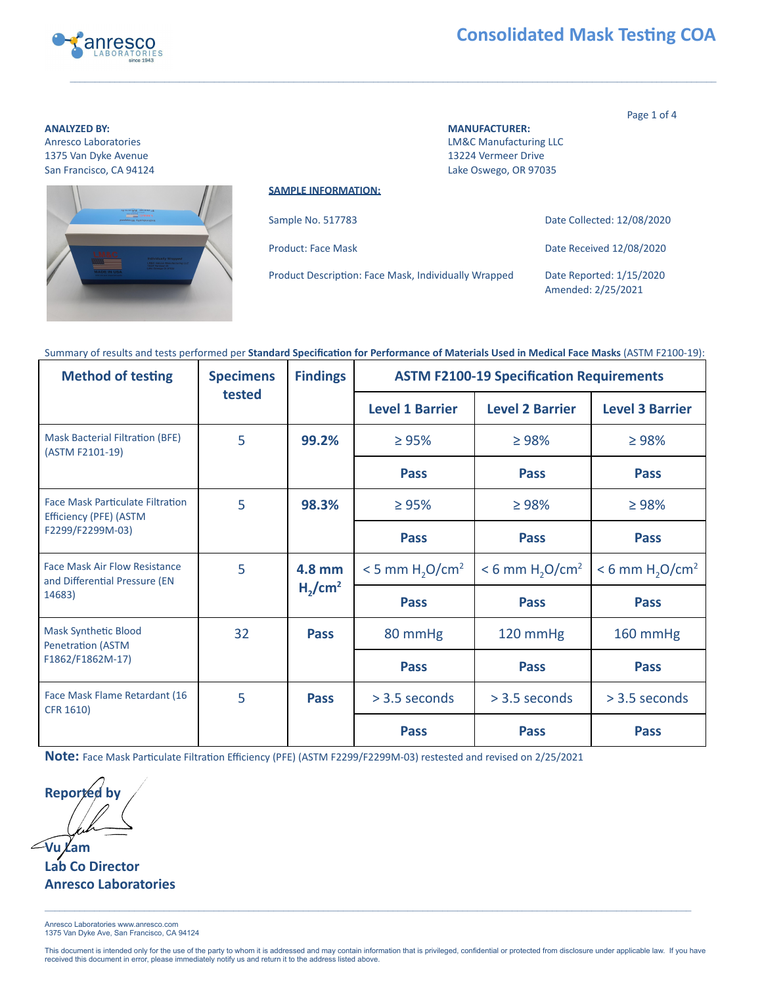

# **Consolidated Mask Testing COA**

Page 1 of 4

**ANALYZED BY: MANUFACTURER:**  Anresco Laboratories **Annufacturing LLC** Manufacturing LLC 1375 Van Dyke Avenue 13224 Vermeer Drive San Francisco, CA 94124 **Lake Oswego, OR 97035** Lake Oswego, OR 97035



**SAMPLE INFORMATION:** 

| Sample No. 517783                                    | Date Collected: 12/08/2020                     |
|------------------------------------------------------|------------------------------------------------|
| Product: Face Mask                                   | Date Received 12/08/2020                       |
| Product Description: Face Mask, Individually Wrapped | Date Reported: 1/15/2020<br>Amended: 2/25/2021 |

#### Summary of results and tests performed per Standard Specification for Performance of Materials Used in Medical Face Masks (ASTM F2100-19):

| <b>Method of testing</b>                                                              | <b>Specimens</b><br>tested                     | <b>Findings</b> |                                           | <b>ASTM F2100-19 Specification Requirements</b> |                                           |                        |
|---------------------------------------------------------------------------------------|------------------------------------------------|-----------------|-------------------------------------------|-------------------------------------------------|-------------------------------------------|------------------------|
|                                                                                       |                                                |                 |                                           |                                                 | <b>Level 1 Barrier</b>                    | <b>Level 2 Barrier</b> |
| <b>Mask Bacterial Filtration (BFE)</b><br>(ASTM F2101-19)                             | 5                                              | 99.2%           | $\geq 95\%$                               | $\geq 98\%$                                     | $\geq 98\%$                               |                        |
|                                                                                       |                                                |                 | <b>Pass</b>                               | <b>Pass</b>                                     | <b>Pass</b>                               |                        |
| <b>Face Mask Particulate Filtration</b><br>Efficiency (PFE) (ASTM<br>F2299/F2299M-03) | 5                                              | 98.3%           | $\geq 95\%$                               | $\geq 98\%$                                     | $\geq 98\%$                               |                        |
|                                                                                       |                                                |                 | <b>Pass</b>                               | <b>Pass</b>                                     | <b>Pass</b>                               |                        |
| <b>Face Mask Air Flow Resistance</b><br>and Differential Pressure (EN<br>14683)       | 5<br>4.8 mm<br>H <sub>2</sub> /cm <sup>2</sup> |                 | $<$ 5 mm H <sub>2</sub> O/cm <sup>2</sup> | $< 6$ mm H <sub>2</sub> O/cm <sup>2</sup>       | $< 6$ mm H <sub>2</sub> O/cm <sup>2</sup> |                        |
|                                                                                       |                                                | <b>Pass</b>     | <b>Pass</b>                               | <b>Pass</b>                                     |                                           |                        |
| <b>Mask Synthetic Blood</b><br><b>Penetration (ASTM</b><br>F1862/F1862M-17)           | 32                                             | <b>Pass</b>     | 80 mmHg                                   | 120 mmHg                                        | 160 mmHg                                  |                        |
|                                                                                       |                                                |                 | <b>Pass</b>                               | <b>Pass</b>                                     | <b>Pass</b>                               |                        |
| Face Mask Flame Retardant (16<br>CFR 1610)                                            | 5                                              | <b>Pass</b>     | $>$ 3.5 seconds                           | $> 3.5$ seconds                                 | $> 3.5$ seconds                           |                        |
|                                                                                       |                                                |                 | <b>Pass</b>                               | <b>Pass</b>                                     | <b>Pass</b>                               |                        |

Note: Face Mask Particulate Filtration Efficiency (PFE) (ASTM F2299/F2299M-03) restested and revised on 2/25/2021

**Reported by Vu Lam** 

**Lab Co Director Anresco Laboratories** 

Anresco Laboratories www.anresco.com 1375 Van Dyke Ave, San Francisco, CA 94124

This document is intended only for the use of the party to whom it is addressed and may contain information that is privileged, confidential or protected from disclosure under applicable law. If you have received this document in error, please immediately notify us and return it to the address listed above.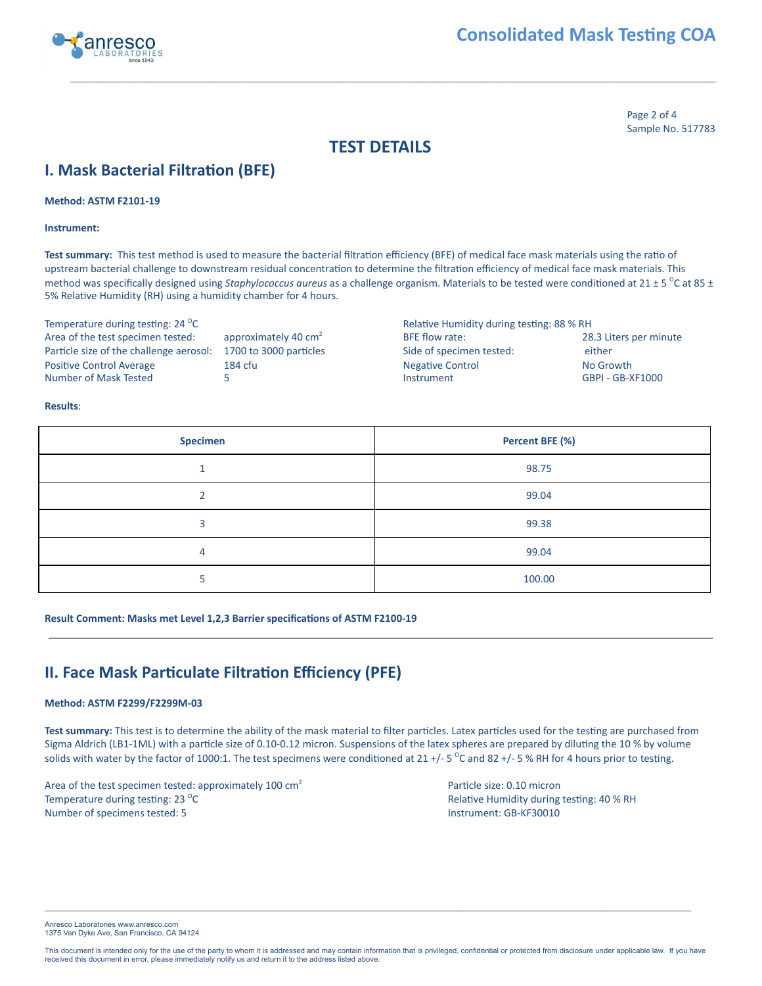

Page 2 of 4 Sample No. 517783

### **TEST DETAILS**

# **I.** Mask Bacterial Filtration (BFE)

**Method: ASTM F2101-19** 

**Instrument:** 

Test summary: This test method is used to measure the bacterial filtration efficiency (BFE) of medical face mask materials using the ratio of upstream bacterial challenge to downstream residual concentration to determine the filtration efficiency of medical face mask materials. This method was specifically designed using *Staphylococcus aureus* as a challenge organism. Materials to be tested were conditioned at 21 ± 5 <sup>o</sup>C at 85 ± 5% Relative Humidity (RH) using a humidity chamber for 4 hours.

Temperature during testing: 24 °C

Relative Humidity during testing: 88 % RH Area of the test specimen tested: approximately 40 cm<sup>2</sup> BFE flow rate: 28.3 Liters per minute Particle size of the challenge aerosol: 1700 to 3000 particles Side of specimen tested: either Positive Control Average 184 cfu 184 cfu Negative Control No Growth Number of Mask Tested 5 Instrument GBPI - GB-XF1000

#### **Results** :

| <b>Specimen</b> | Percent BFE (%) |
|-----------------|-----------------|
|                 | 98.75           |
|                 | 99.04           |
|                 | 99.38           |
| 4               | 99.04           |
|                 | 100.00          |

**Result Comment: Masks met Level 1,2,3 Barrier specifications of ASTM F2100-19** 

## **II. Face Mask Particulate Filtration Efficiency (PFE)**

#### **Method: ASTM F2299/F2299M-03**

Test summary: This test is to determine the ability of the mask material to filter particles. Latex particles used for the testing are purchased from Sigma Aldrich (LB1-1ML) with a particle size of 0.10-0.12 micron. Suspensions of the latex spheres are prepared by diluting the 10 % by volume solids with water by the factor of 1000:1. The test specimens were conditioned at 21 +/- 5  $\degree$ C and 82 +/- 5  $\%$  RH for 4 hours prior to testing.

Area of the test specimen tested: approximately 100 cm<sup>2</sup> Particle size: 0.10 micron Temperature during testing: 23 °C Number of specimens tested: 5 **Instrument: GB-KF30010** Instrument: GB-KF30010

Relative Humidity during testing: 40 % RH

Anresco Laboratories www.anresco.com 1375 Van Dyke Ave, San Francisco, CA 94124

This document is intended only for the use of the party to whom it is addressed and may contain information that is privileged, confidential or protected from disclosure under applicable law. If you have received this document in error, please immediately notify us and return it to the address listed above.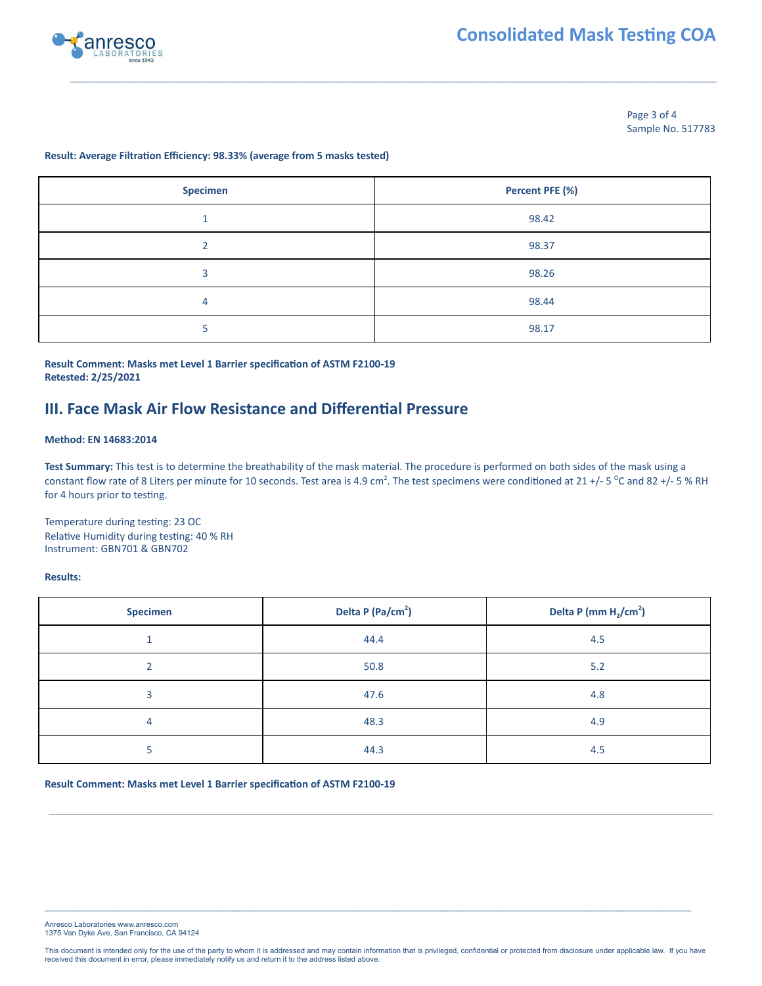



Page 3 of 4 Sample No. 517783

#### **Result: Average Filtration Efficiency: 98.33% (average from 5 masks tested)**

| <b>Specimen</b> | Percent PFE (%) |
|-----------------|-----------------|
|                 | 98.42           |
|                 | 98.37           |
| 3               | 98.26           |
| 4               | 98.44           |
| 5               | 98.17           |

### **Result Comment: Masks met Level 1 Barrier specification of ASTM F2100-19 Retested: 2/25/2021**

### **III. Face Mask Air Flow Resistance and Differenal Pressure**

#### **Method: EN 14683:2014**

**Test Summary:** This test is to determine the breathability of the mask material. The procedure is performed on both sides of the mask using a constant flow rate of 8 Liters per minute for 10 seconds. Test area is 4.9 cm<sup>2</sup>. The test specimens were conditioned at 21 +/- 5  $^{\circ}$ C and 82 +/- 5  $^{\circ}$  RH for 4 hours prior to testing.

Temperature during testing: 23 OC Relative Humidity during testing: 40 % RH Instrument: GBN701 & GBN702

#### **Results:**

| <b>Specimen</b> | Delta P (Pa/cm <sup>2</sup> ) | Delta P (mm $H_2$ /cm <sup>2</sup> ) |
|-----------------|-------------------------------|--------------------------------------|
|                 | 44.4                          | 4.5                                  |
|                 | 50.8                          | 5.2                                  |
| 3               | 47.6                          | 4.8                                  |
| 4               | 48.3                          | 4.9                                  |
|                 | 44.3                          | 4.5                                  |

**Result Comment: Masks met Level 1 Barrier specification of ASTM F2100-19** 

Anresco Laboratories www.anresco.com 1375 Van Dyke Ave, San Francisco, CA 94124

This document is intended only for the use of the party to whom it is addressed and may contain information that is privileged, confidential or protected from disclosure under applicable law. If you have received this document in error, please immediately notify us and return it to the address listed above.